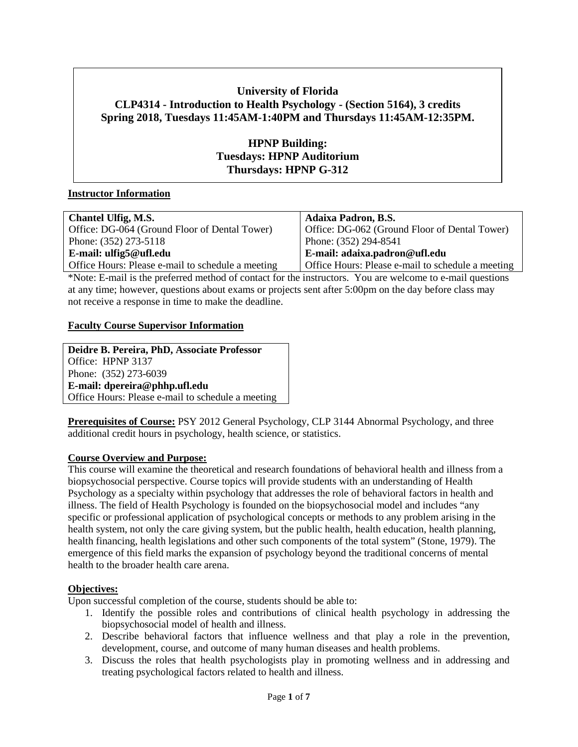# **University of Florida CLP4314 - Introduction to Health Psychology - (Section 5164), 3 credits Spring 2018, Tuesdays 11:45AM-1:40PM and Thursdays 11:45AM-12:35PM.**

# **HPNP Building: Tuesdays: HPNP Auditorium Thursdays: HPNP G-312**

#### **Instructor Information**

| Chantel Ulfig, M.S.                               | <b>Adaixa Padron, B.S.</b>                        |
|---------------------------------------------------|---------------------------------------------------|
| Office: DG-064 (Ground Floor of Dental Tower)     | Office: DG-062 (Ground Floor of Dental Tower)     |
| Phone: (352) 273-5118                             | Phone: (352) 294-8541                             |
| E-mail: ulfig $5@$ ufl.edu                        | E-mail: adaixa.padron@ufl.edu                     |
| Office Hours: Please e-mail to schedule a meeting | Office Hours: Please e-mail to schedule a meeting |

\*Note: E-mail is the preferred method of contact for the instructors. You are welcome to e-mail questions at any time; however, questions about exams or projects sent after 5:00pm on the day before class may not receive a response in time to make the deadline.

# **Faculty Course Supervisor Information**

**Deidre B. Pereira, PhD, Associate Professor** Office: HPNP 3137 Phone: (352) 273-6039 **E-mail: dpereira@phhp.ufl.edu** Office Hours: Please e-mail to schedule a meeting

**Prerequisites of Course:** PSY 2012 General Psychology, CLP 3144 Abnormal Psychology, and three additional credit hours in psychology, health science, or statistics.

#### **Course Overview and Purpose:**

This course will examine the theoretical and research foundations of behavioral health and illness from a biopsychosocial perspective. Course topics will provide students with an understanding of Health Psychology as a specialty within psychology that addresses the role of behavioral factors in health and illness. The field of Health Psychology is founded on the biopsychosocial model and includes "any specific or professional application of psychological concepts or methods to any problem arising in the health system, not only the care giving system, but the public health, health education, health planning, health financing, health legislations and other such components of the total system" (Stone, 1979). The emergence of this field marks the expansion of psychology beyond the traditional concerns of mental health to the broader health care arena.

#### **Objectives:**

Upon successful completion of the course, students should be able to:

- 1. Identify the possible roles and contributions of clinical health psychology in addressing the biopsychosocial model of health and illness.
- 2. Describe behavioral factors that influence wellness and that play a role in the prevention, development, course, and outcome of many human diseases and health problems.
- 3. Discuss the roles that health psychologists play in promoting wellness and in addressing and treating psychological factors related to health and illness.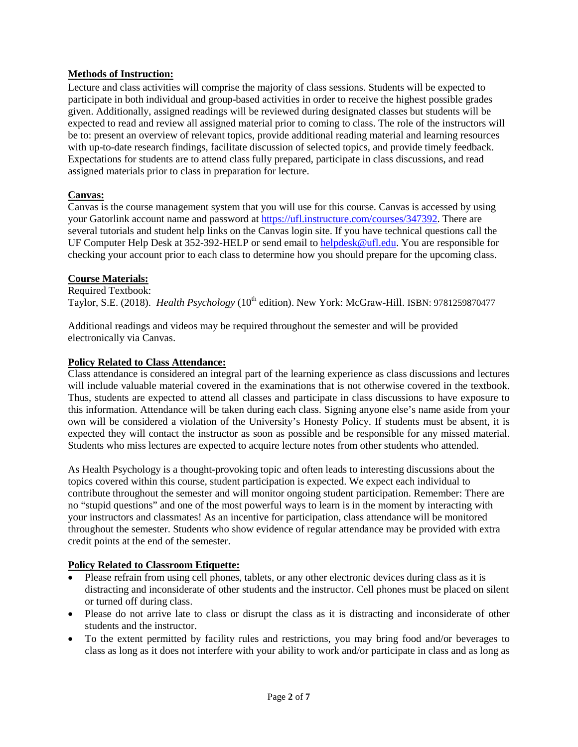## **Methods of Instruction:**

Lecture and class activities will comprise the majority of class sessions. Students will be expected to participate in both individual and group-based activities in order to receive the highest possible grades given. Additionally, assigned readings will be reviewed during designated classes but students will be expected to read and review all assigned material prior to coming to class. The role of the instructors will be to: present an overview of relevant topics, provide additional reading material and learning resources with up-to-date research findings, facilitate discussion of selected topics, and provide timely feedback. Expectations for students are to attend class fully prepared, participate in class discussions, and read assigned materials prior to class in preparation for lecture.

## **Canvas:**

Canvas is the course management system that you will use for this course. Canvas is accessed by using your Gatorlink account name and password at [https://ufl.instructure.com/courses/347392.](https://ufl.instructure.com/courses/347392) There are several tutorials and student help links on the Canvas login site. If you have technical questions call the UF Computer Help Desk at 352-392-HELP or send email to [helpdesk@ufl.edu.](mailto:helpdesk@ufl.edu) You are responsible for checking your account prior to each class to determine how you should prepare for the upcoming class.

#### **Course Materials:**

Required Textbook: Taylor, S.E. (2018). *Health Psychology* (10<sup>th</sup> edition). New York: McGraw-Hill. ISBN: 9781259870477

Additional readings and videos may be required throughout the semester and will be provided electronically via Canvas.

## **Policy Related to Class Attendance:**

Class attendance is considered an integral part of the learning experience as class discussions and lectures will include valuable material covered in the examinations that is not otherwise covered in the textbook. Thus, students are expected to attend all classes and participate in class discussions to have exposure to this information. Attendance will be taken during each class. Signing anyone else's name aside from your own will be considered a violation of the University's Honesty Policy. If students must be absent, it is expected they will contact the instructor as soon as possible and be responsible for any missed material. Students who miss lectures are expected to acquire lecture notes from other students who attended.

As Health Psychology is a thought-provoking topic and often leads to interesting discussions about the topics covered within this course, student participation is expected. We expect each individual to contribute throughout the semester and will monitor ongoing student participation. Remember: There are no "stupid questions" and one of the most powerful ways to learn is in the moment by interacting with your instructors and classmates! As an incentive for participation, class attendance will be monitored throughout the semester. Students who show evidence of regular attendance may be provided with extra credit points at the end of the semester.

# **Policy Related to Classroom Etiquette:**

- Please refrain from using cell phones, tablets, or any other electronic devices during class as it is distracting and inconsiderate of other students and the instructor. Cell phones must be placed on silent or turned off during class.
- Please do not arrive late to class or disrupt the class as it is distracting and inconsiderate of other students and the instructor.
- To the extent permitted by facility rules and restrictions, you may bring food and/or beverages to class as long as it does not interfere with your ability to work and/or participate in class and as long as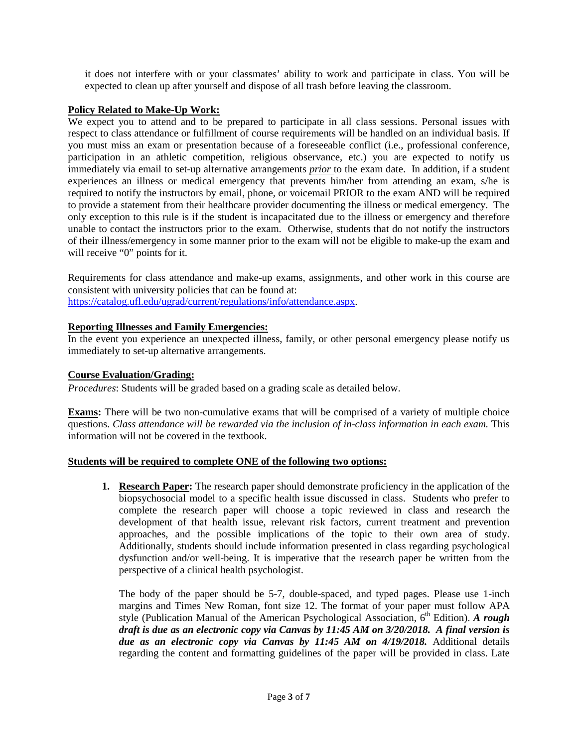it does not interfere with or your classmates' ability to work and participate in class. You will be expected to clean up after yourself and dispose of all trash before leaving the classroom.

# **Policy Related to Make-Up Work:**

We expect you to attend and to be prepared to participate in all class sessions. Personal issues with respect to class attendance or fulfillment of course requirements will be handled on an individual basis. If you must miss an exam or presentation because of a foreseeable conflict (i.e., professional conference, participation in an athletic competition, religious observance, etc.) you are expected to notify us immediately via email to set-up alternative arrangements *prior* to the exam date. In addition, if a student experiences an illness or medical emergency that prevents him/her from attending an exam, s/he is required to notify the instructors by email, phone, or voicemail PRIOR to the exam AND will be required to provide a statement from their healthcare provider documenting the illness or medical emergency. The only exception to this rule is if the student is incapacitated due to the illness or emergency and therefore unable to contact the instructors prior to the exam. Otherwise, students that do not notify the instructors of their illness/emergency in some manner prior to the exam will not be eligible to make-up the exam and will receive "0" points for it.

Requirements for class attendance and make-up exams, assignments, and other work in this course are consistent with university policies that can be found at: [https://catalog.ufl.edu/ugrad/current/regulations/info/attendance.aspx.](https://catalog.ufl.edu/ugrad/current/regulations/info/attendance.aspx)

## **Reporting Illnesses and Family Emergencies:**

In the event you experience an unexpected illness, family, or other personal emergency please notify us immediately to set-up alternative arrangements.

#### **Course Evaluation/Grading:**

*Procedures*: Students will be graded based on a grading scale as detailed below.

**Exams:** There will be two non-cumulative exams that will be comprised of a variety of multiple choice questions. *Class attendance will be rewarded via the inclusion of in-class information in each exam.* This information will not be covered in the textbook.

#### **Students will be required to complete ONE of the following two options:**

**1. Research Paper:** The research paper should demonstrate proficiency in the application of the biopsychosocial model to a specific health issue discussed in class. Students who prefer to complete the research paper will choose a topic reviewed in class and research the development of that health issue, relevant risk factors, current treatment and prevention approaches, and the possible implications of the topic to their own area of study. Additionally, students should include information presented in class regarding psychological dysfunction and/or well-being. It is imperative that the research paper be written from the perspective of a clinical health psychologist.

The body of the paper should be 5-7, double-spaced, and typed pages. Please use 1-inch margins and Times New Roman, font size 12. The format of your paper must follow APA style (Publication Manual of the American Psychological Association, 6<sup>th</sup> Edition). *A rough draft is due as an electronic copy via Canvas by 11:45 AM on 3/20/2018. A final version is due as an electronic copy via Canvas by 11:45 AM on 4/19/2018.* Additional details regarding the content and formatting guidelines of the paper will be provided in class. Late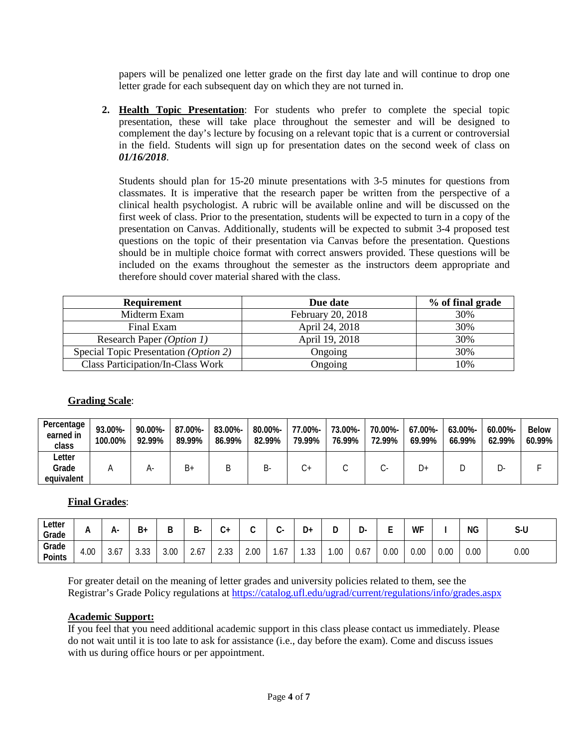papers will be penalized one letter grade on the first day late and will continue to drop one letter grade for each subsequent day on which they are not turned in.

**2. Health Topic Presentation**: For students who prefer to complete the special topic presentation, these will take place throughout the semester and will be designed to complement the day's lecture by focusing on a relevant topic that is a current or controversial in the field. Students will sign up for presentation dates on the second week of class on *01/16/2018*.

Students should plan for 15-20 minute presentations with 3-5 minutes for questions from classmates. It is imperative that the research paper be written from the perspective of a clinical health psychologist. A rubric will be available online and will be discussed on the first week of class. Prior to the presentation, students will be expected to turn in a copy of the presentation on Canvas. Additionally, students will be expected to submit 3-4 proposed test questions on the topic of their presentation via Canvas before the presentation. Questions should be in multiple choice format with correct answers provided. These questions will be included on the exams throughout the semester as the instructors deem appropriate and therefore should cover material shared with the class.

| Requirement                              | Due date          | % of final grade |
|------------------------------------------|-------------------|------------------|
| Midterm Exam                             | February 20, 2018 | 30%              |
| Final Exam                               | April 24, 2018    | 30%              |
| Research Paper (Option 1)                | April 19, 2018    | 30%              |
| Special Topic Presentation (Option 2)    | Ongoing           | 30%              |
| <b>Class Participation/In-Class Work</b> | Ongoing           | 10%              |

# **Grading Scale**:

| Percentage<br>earned in<br>class | 93.00%-<br>100.00% | 90.00%-<br>92.99% | 87.00%-<br>89.99% | 83.00%-<br>86.99% | 80.00%-<br>82.99% | 77.00%-<br>79.99% | 73.00%-<br>76.99% | 70.00%-<br>72.99% | $67.00\%$ -<br>69.99% | $63.00\%$ -<br>66.99% | $60.00\%$ -<br>62.99% | <b>Below</b><br>60.99% |
|----------------------------------|--------------------|-------------------|-------------------|-------------------|-------------------|-------------------|-------------------|-------------------|-----------------------|-----------------------|-----------------------|------------------------|
| Letter                           |                    |                   |                   |                   |                   |                   |                   |                   |                       |                       |                       |                        |
| Grade                            |                    | A٠                | B+                | B                 | -כ                | $\mathcal{L}^+$   |                   |                   | D+                    |                       |                       |                        |
| equivalent                       |                    |                   |                   |                   |                   |                   |                   |                   |                       |                       |                       |                        |

# **Final Grades**:

| ∟etter<br>Grade | n.   | А-   | B+                  | ח    | D<br>D. | +ر   | ◡    |                                                | D۰              |     | .<br>ັ | -    | WF   |      | ΝG   | $S-U$ |
|-----------------|------|------|---------------------|------|---------|------|------|------------------------------------------------|-----------------|-----|--------|------|------|------|------|-------|
| Grade<br>Points | 4.00 | 3.67 | $\sim$<br>∽<br>ა.აა | 3.00 | 2.0     | 2.33 | 2.00 | $\overline{\phantom{a}}$<br><sub>n</sub><br>.v | $\Omega$<br>ں ل | .00 | 0.67   | 0.00 | 0.00 | 0.00 | 0.00 | 0.00  |

For greater detail on the meaning of letter grades and university policies related to them, see the Registrar's Grade Policy regulations at<https://catalog.ufl.edu/ugrad/current/regulations/info/grades.aspx>

#### **Academic Support:**

If you feel that you need additional academic support in this class please contact us immediately. Please do not wait until it is too late to ask for assistance (i.e., day before the exam). Come and discuss issues with us during office hours or per appointment.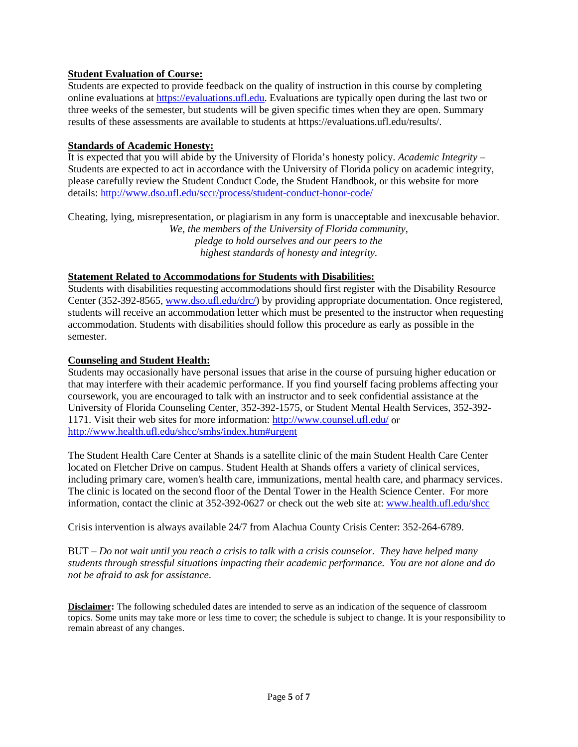# **Student Evaluation of Course:**

Students are expected to provide feedback on the quality of instruction in this course by completing online evaluations at [https://evaluations.ufl.edu.](https://evaluations.ufl.edu/) Evaluations are typically open during the last two or three weeks of the semester, but students will be given specific times when they are open. Summary results of these assessments are available to students at https://evaluations.ufl.edu/results/.

#### **Standards of Academic Honesty:**

It is expected that you will abide by the University of Florida's honesty policy. *Academic Integrity –* Students are expected to act in accordance with the University of Florida policy on academic integrity, please carefully review the Student Conduct Code, the Student Handbook, or this website for more details: <http://www.dso.ufl.edu/sccr/process/student-conduct-honor-code/>

Cheating, lying, misrepresentation, or plagiarism in any form is unacceptable and inexcusable behavior. *We, the members of the University of Florida community, pledge to hold ourselves and our peers to the highest standards of honesty and integrity.*

## **Statement Related to Accommodations for Students with Disabilities:**

Students with disabilities requesting accommodations should first register with the Disability Resource Center (352-392-8565, [www.dso.ufl.edu/drc/\)](http://www.dso.ufl.edu/drc/) by providing appropriate documentation. Once registered, students will receive an accommodation letter which must be presented to the instructor when requesting accommodation. Students with disabilities should follow this procedure as early as possible in the semester.

#### **Counseling and Student Health:**

Students may occasionally have personal issues that arise in the course of pursuing higher education or that may interfere with their academic performance. If you find yourself facing problems affecting your coursework, you are encouraged to talk with an instructor and to seek confidential assistance at the University of Florida Counseling Center, 352-392-1575, or Student Mental Health Services, 352-392- 1171. Visit their web sites for more information:<http://www.counsel.ufl.edu/> or <http://www.health.ufl.edu/shcc/smhs/index.htm#urgent>

The Student Health Care Center at Shands is a satellite clinic of the main Student Health Care Center located on Fletcher Drive on campus. Student Health at Shands offers a variety of clinical services, including primary care, women's health care, immunizations, mental health care, and pharmacy services. The clinic is located on the second floor of the Dental Tower in the Health Science Center. For more information, contact the clinic at 352-392-0627 or check out the web site at: [www.health.ufl.edu/shcc](http://www.health.ufl.edu/shcc)

Crisis intervention is always available 24/7 from Alachua County Crisis Center: 352-264-6789.

BUT – *Do not wait until you reach a crisis to talk with a crisis counselor. They have helped many students through stressful situations impacting their academic performance. You are not alone and do not be afraid to ask for assistance*.

**Disclaimer:** The following scheduled dates are intended to serve as an indication of the sequence of classroom topics. Some units may take more or less time to cover; the schedule is subject to change. It is your responsibility to remain abreast of any changes.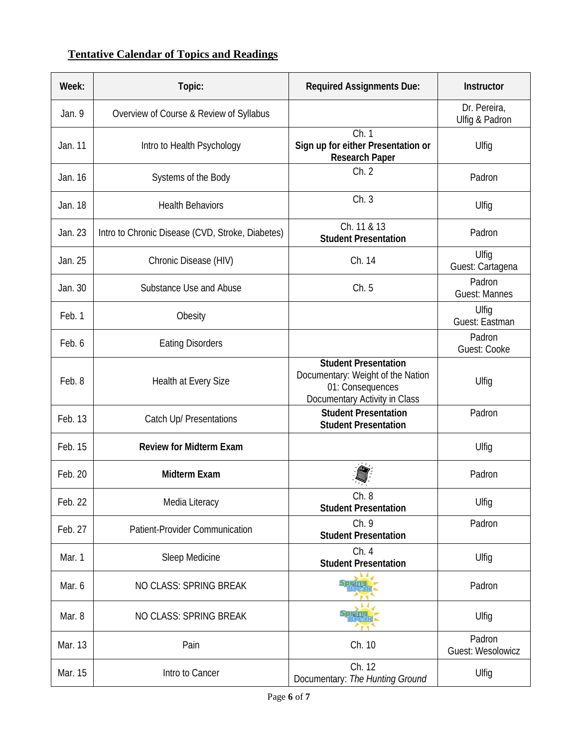# **Tentative Calendar of Topics and Readings**

| Week:   | Topic:                                           | <b>Required Assignments Due:</b>                                                                                      | Instructor                         |
|---------|--------------------------------------------------|-----------------------------------------------------------------------------------------------------------------------|------------------------------------|
| Jan. 9  | Overview of Course & Review of Syllabus          |                                                                                                                       | Dr. Pereira,<br>Ulfig & Padron     |
| Jan. 11 | Intro to Health Psychology                       | Ch.1<br>Sign up for either Presentation or<br><b>Research Paper</b>                                                   | Ulfig                              |
| Jan. 16 | Systems of the Body                              | Ch. 2                                                                                                                 | Padron                             |
| Jan. 18 | <b>Health Behaviors</b>                          | Ch.3                                                                                                                  | Ulfig                              |
| Jan. 23 | Intro to Chronic Disease (CVD, Stroke, Diabetes) | Ch. 11 & 13<br><b>Student Presentation</b>                                                                            | Padron                             |
| Jan. 25 | Chronic Disease (HIV)                            | Ch. 14                                                                                                                | Ulfiq<br>Guest: Cartagena          |
| Jan. 30 | Substance Use and Abuse                          | Ch. 5                                                                                                                 | Padron<br><b>Guest: Mannes</b>     |
| Feb. 1  | Obesity                                          |                                                                                                                       | Ulfig<br>Guest: Eastman            |
| Feb. 6  | <b>Eating Disorders</b>                          |                                                                                                                       | Padron<br>Guest: Cooke             |
| Feb. 8  | Health at Every Size                             | <b>Student Presentation</b><br>Documentary: Weight of the Nation<br>01: Consequences<br>Documentary Activity in Class | Ulfig                              |
| Feb. 13 | Catch Up/ Presentations                          | <b>Student Presentation</b><br><b>Student Presentation</b>                                                            | Padron                             |
| Feb. 15 | <b>Review for Midterm Exam</b>                   |                                                                                                                       | Ulfig                              |
| Feb. 20 | <b>Midterm Exam</b>                              |                                                                                                                       | Padron                             |
| Feb. 22 | Media Literacy                                   | UII. ŏ<br><b>Student Presentation</b>                                                                                 | Ulfig                              |
| Feb. 27 | Patient-Provider Communication                   | Ch. 9<br><b>Student Presentation</b>                                                                                  | Padron                             |
| Mar. 1  | Sleep Medicine                                   | Ch. 4<br><b>Student Presentation</b>                                                                                  | Ulfig                              |
| Mar. 6  | NO CLASS: SPRING BREAK                           |                                                                                                                       | Padron                             |
| Mar. 8  | NO CLASS: SPRING BREAK                           |                                                                                                                       | Ulfig                              |
| Mar. 13 | Pain                                             | Ch. 10                                                                                                                | Padron<br><b>Guest: Wesolowicz</b> |
| Mar. 15 | Intro to Cancer                                  | Ch. 12<br>Documentary: The Hunting Ground                                                                             | Ulfig                              |